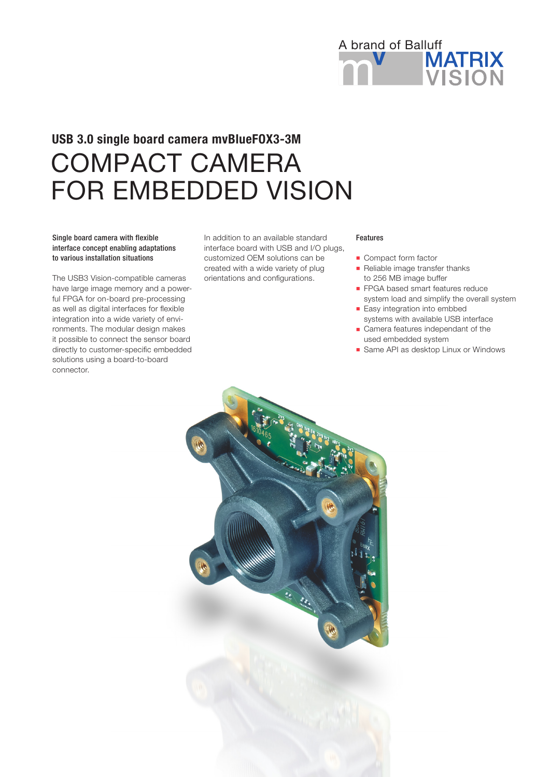

# COMPACT CAMERA FOR EMBEDDED VISION USB 3.0 single board camera mvBlueFOX3-3M

# Single board camera with flexible interface concept enabling adaptations to various installation situations

The USB3 Vision-compatible cameras have large image memory and a powerful FPGA for on-board pre-processing as well as digital interfaces for flexible integration into a wide variety of environments. The modular design makes it possible to connect the sensor board directly to customer-specific embedded solutions using a board-to-board connector.

In addition to an available standard interface board with USB and I/O plugs, customized OEM solutions can be created with a wide variety of plug orientations and configurations.

#### Features

- **n** Compact form factor
- Reliable image transfer thanks to 256 MB image buffer
- **FPGA based smart features reduce** system load and simplify the overall system
- **Easy integration into embbed** systems with available USB interface
- Camera features independant of the used embedded system
- Same API as desktop Linux or Windows